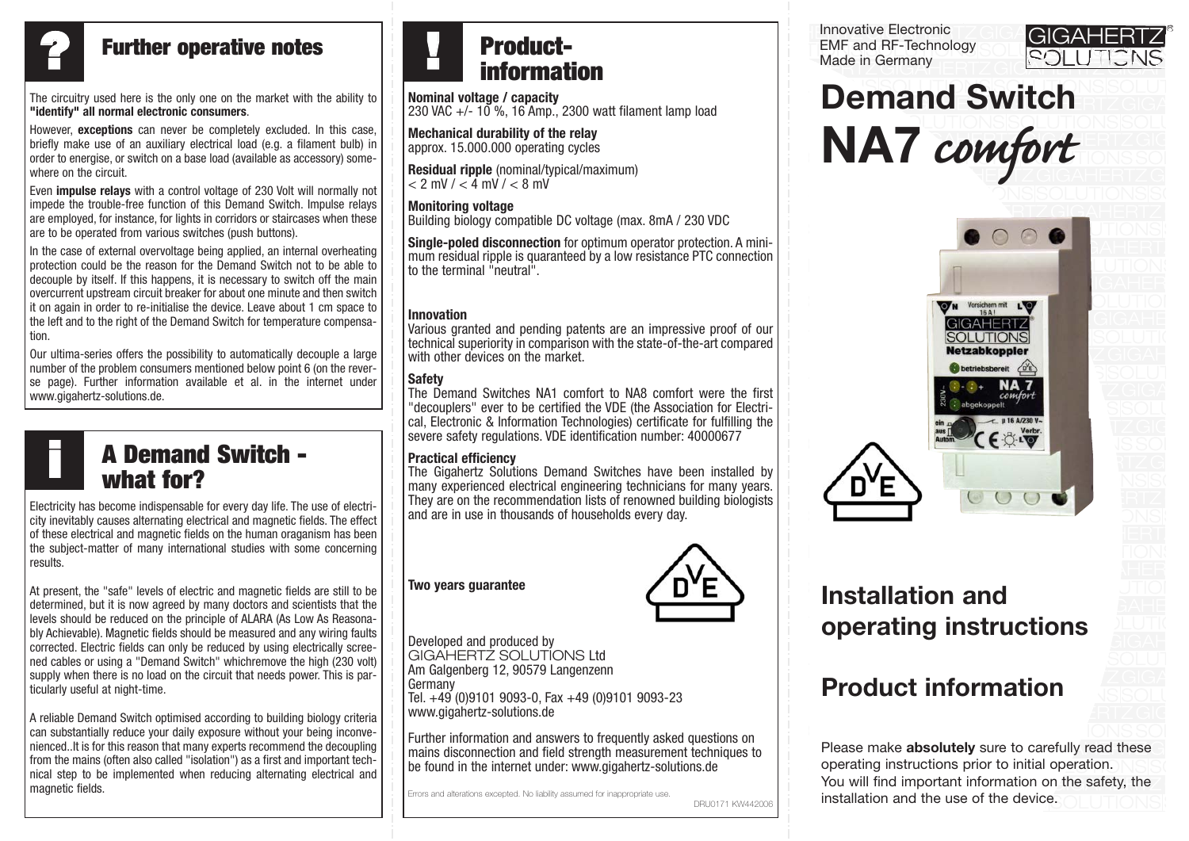

## **Further operative notes**

The circuitry used here is the only one on the market with the ability to **"identify" all normal electronic consumers**.

However, **exceptions** can never be completely excluded. In this case, briefly make use of an auxiliary electrical load (e.g. a filament bulb) in order to energise, or switch on a base load (available as accessory) somewhere on the circuit.

Even **impulse relays** with a control voltage of 230 Volt will normally not impede the trouble-free function of this Demand Switch. Impulse relays are employed, for instance, for lights in corridors or staircases when these are to be operated from various switches (push buttons).

In the case of external overvoltage being applied, an internal overheating protection could be the reason for the Demand Switch not to be able to decouple by itself. If this happens, it is necessary to switch off the main overcurrent upstream circuit breaker for about one minute and then switch it on again in order to re-initialise the device. Leave about 1 cm space to the left and to the right of the Demand Switch for temperature compensation.

Our ultima-series offers the possibility to automatically decouple a large number of the problem consumers mentioned below point 6 (on the reverse page). Further information available et al. in the internet under www.gigahertz-solutions.de.

### **A Demand Switch what for? i**

Electricity has become indispensable for every day life. The use of electricity inevitably causes alternating electrical and magnetic fields. The effect of these electrical and magnetic fields on the human oraganism has been the subject-matter of many international studies with some concerning results.

At present, the "safe" levels of electric and magnetic fields are still to be determined, but it is now agreed by many doctors and scientists that the levels should be reduced on the principle of ALARA (As Low As Reasonably Achievable). Magnetic fields should be measured and any wiring faults corrected. Electric fields can only be reduced by using electrically screened cables or using a "Demand Switch" whichremove the high (230 volt) supply when there is no load on the circuit that needs power. This is particularly useful at night-time.

A reliable Demand Switch optimised according to building biology criteria can substantially reduce your daily exposure without your being inconvenienced..It is for this reason that many experts recommend the decoupling from the mains (often also called "isolation") as a first and important technical step to be implemented when reducing alternating electrical and magnetic fields.

### **Productinformation !**

**Nominal voltage / capacity** 230 VAC +/- 10 %, 16 Amp., 2300 watt filament lamp load

**Mechanical durability of the relay** approx. 15.000.000 operating cycles

**Residual ripple** (nominal/typical/maximum)  $< 2$  mV  $/ < 4$  mV  $/ < 8$  mV

### **Monitoring voltage**

Building biology compatible DC voltage (max. 8mA / 230 VDC

**Single-poled disconnection** for optimum operator protection. A minimum residual ripple is quaranteed by a low resistance PTC connection to the terminal "neutral".

### **Innovation**

Various granted and pending patents are an impressive proof of our technical superiority in comparison with the state-of-the-art compared with other devices on the market.

### **Safety**

The Demand Switches NA1 comfort to NA8 comfort were the first "decouplers" ever to be certified the VDE (the Association for Electrical, Electronic & Information Technologies) certificate for fulfilling the severe safety regulations. VDE identification number: 40000677

### **Practical efficiency**

The Gigahertz Solutions Demand Switches have been installed by many experienced electrical engineering technicians for many years. They are on the recommendation lists of renowned building biologists and are in use in thousands of households every day.

## **Two years guarantee**



DRU0171 KW442006

Developed and produced by GIGAHERTZ SOLUTIONS Ltd Am Galgenberg 12, 90579 Langenzenn **Germany** Tel. +49 (0)9101 9093-0, Fax +49 (0)9101 9093-23 www.gigahertz-solutions.de

Further information and answers to frequently asked questions on mains disconnection and field strength measurement techniques to be found in the internet under: www.gigahertz-solutions.de

Errors and alterations excepted. No liability assumed for inappropriate use.

Innovative Electronic ZGIGA GIGAHERTZ EMF and RF-Technology  $T$ Ginany $\Box$ 



-

#### SOLUTIONS SOLUTIONS UTIONS **Demand Switch E L PLUTIONS** SOLUTIONS GIGAHERTZ UT UTIONS GIGAAL **COVVU** IGAHERTZ OLUTIONS NA7 *comfort*



### Inctallation and Giga di Santa Barat di Santa Barat di Santa Barat di Santa Barat di Santa Barat di Santa Barat di Santa Barat norating instructions **Installation and** operating instructions

#### GIGAHERTZ SOLUTIONS Giga Hertz Germany<br>Giga Hertz Germany SL INDULIN  $\sum_{i=1}^n$ **Product information**

Please make **absolutely** sure to carefully read these operating instructions prior to initial operation.  $\setminus\,$ You will find important information on the safety, the SOLUTIONS installation and the use of the device.